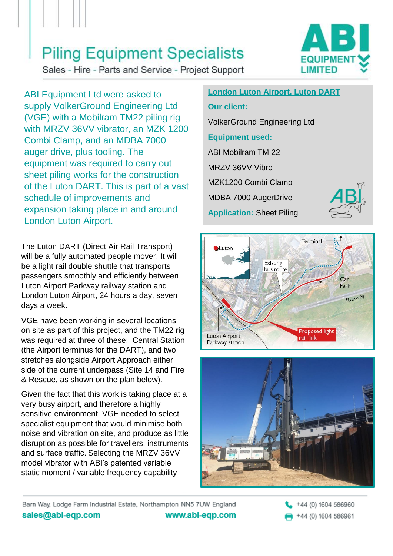### **Piling Equipment Specialists**

Sales - Hire - Parts and Service - Project Support



ABI Equipment Ltd were asked to supply VolkerGround Engineering Ltd (VGE) with a Mobilram TM22 piling rig with MRZV 36VV vibrator, an MZK 1200 Combi Clamp, and an MDBA 7000 auger drive, plus tooling. The equipment was required to carry out sheet piling works for the construction of the Luton DART. This is part of a vast schedule of improvements and expansion taking place in and around London Luton Airport.

The Luton DART (Direct Air Rail Transport) will be a fully automated people mover. It will be a light rail double shuttle that transports passengers smoothly and efficiently between Luton Airport Parkway railway station and London Luton Airport, 24 hours a day, seven days a week.

VGE have been working in several locations on site as part of this project, and the TM22 rig was required at three of these: Central Station (the Airport terminus for the DART), and two stretches alongside Airport Approach either side of the current underpass (Site 14 and Fire & Rescue, as shown on the plan below).

Given the fact that this work is taking place at a very busy airport, and therefore a highly sensitive environment, VGE needed to select specialist equipment that would minimise both noise and vibration on site, and produce as little disruption as possible for travellers, instruments and surface traffic. Selecting the MRZV 36VV model vibrator with ABI's patented variable static moment / variable frequency capability

#### **London Luton Airport, Luton DART Our client:** VolkerGround Engineering Ltd **Equipment used:** ABI Mobilram TM 22 MRZV 36VV Vibro MZK1200 Combi Clamp MDBA 7000 AugerDrive **Application:** Sheet Piling







Barn Way, Lodge Farm Industrial Estate, Northampton NN5 7UW England sales@abi-eqp.com www.abi-eqp.com

+44 (0) 1604 586960 +44 (0) 1604 586961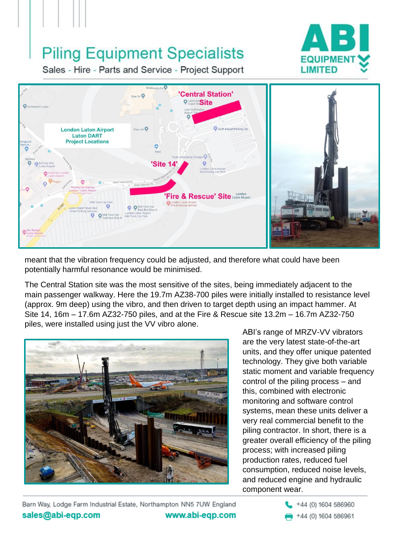# **Piling Equipment Specialists**



Sales - Hire - Parts and Service - Project Support



meant that the vibration frequency could be adjusted, and therefore what could have been potentially harmful resonance would be minimised.

The Central Station site was the most sensitive of the sites, being immediately adjacent to the main passenger walkway. Here the 19.7m AZ38-700 piles were initially installed to resistance level (approx. 9m deep) using the vibro, and then driven to target depth using an impact hammer. At Site 14, 16m – 17.6m AZ32-750 piles, and at the Fire & Rescue site 13.2m – 16.7m AZ32-750 piles, were installed using just the VV vibro alone.



ABI's range of MRZV-VV vibrators are the very latest state-of-the-art units, and they offer unique patented technology. They give both variable static moment and variable frequency control of the piling process – and this, combined with electronic monitoring and software control systems, mean these units deliver a very real commercial benefit to the piling contractor. In short, there is a greater overall efficiency of the piling process; with increased piling production rates, reduced fuel consumption, reduced noise levels, and reduced engine and hydraulic component wear.

Barn Way, Lodge Farm Industrial Estate, Northampton NN5 7UW England sales@abi-eqp.com www.abi-eqp.com